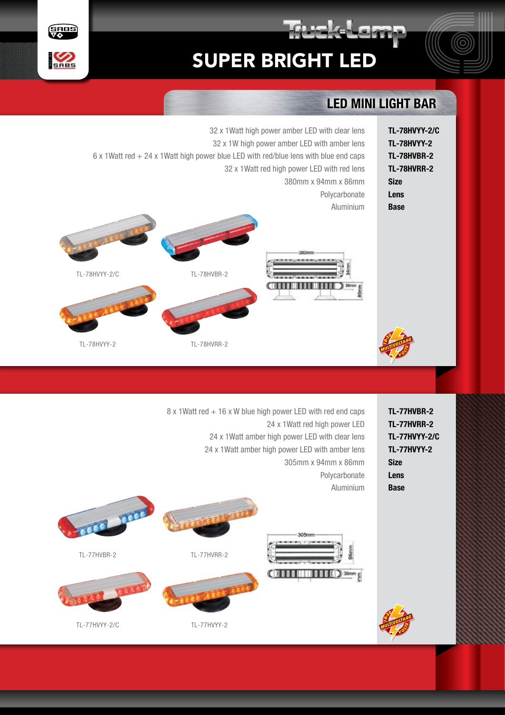



## LED MINI LIGHT BAR

**REAL PROPERTY** 

|                                                                                                                                                                                                                                                           |             | 32 x 1Watt high power amber LED with clear lens<br>32 x 1W high power amber LED with amber lens<br>6 x 1Watt red + 24 x 1Watt high power blue LED with red/blue lens with blue end caps<br>32 x 1Watt red high power LED with red lens<br>380mm x 94mm x 86mm<br>Polycarbonate<br>Aluminium<br>380mm | <b>TL-78HVYY-2/C</b><br><b>TL-78HVYY-2</b><br>TL-78HVBR-2<br><b>TL-78HVRR-2</b><br><b>Size</b><br>Lens<br><b>Base</b> |
|-----------------------------------------------------------------------------------------------------------------------------------------------------------------------------------------------------------------------------------------------------------|-------------|------------------------------------------------------------------------------------------------------------------------------------------------------------------------------------------------------------------------------------------------------------------------------------------------------|-----------------------------------------------------------------------------------------------------------------------|
| TL-78HVYY-2/C                                                                                                                                                                                                                                             | TL-78HVBR-2 |                                                                                                                                                                                                                                                                                                      |                                                                                                                       |
| TL-78HVYY-2                                                                                                                                                                                                                                               | TL-78HVRR-2 |                                                                                                                                                                                                                                                                                                      |                                                                                                                       |
|                                                                                                                                                                                                                                                           |             |                                                                                                                                                                                                                                                                                                      |                                                                                                                       |
| 8 x 1Watt red + 16 x W blue high power LED with red end caps<br>24 x 1 Watt red high power LED<br>24 x 1Watt amber high power LED with clear lens<br>24 x 1Watt amber high power LED with amber lens<br>305mm x 94mm x 86mm<br>Polycarbonate<br>Aluminium |             |                                                                                                                                                                                                                                                                                                      |                                                                                                                       |
|                                                                                                                                                                                                                                                           |             |                                                                                                                                                                                                                                                                                                      | TL-77HVBR-2<br><b>TL-77HVRR-2</b><br><b>TL-77HVYY-2/C</b><br><b>TL-77HVYY-2</b><br><b>Size</b><br>Lens<br><b>Base</b> |

TL-77HVYY-2

TL-77HVYY-2/C